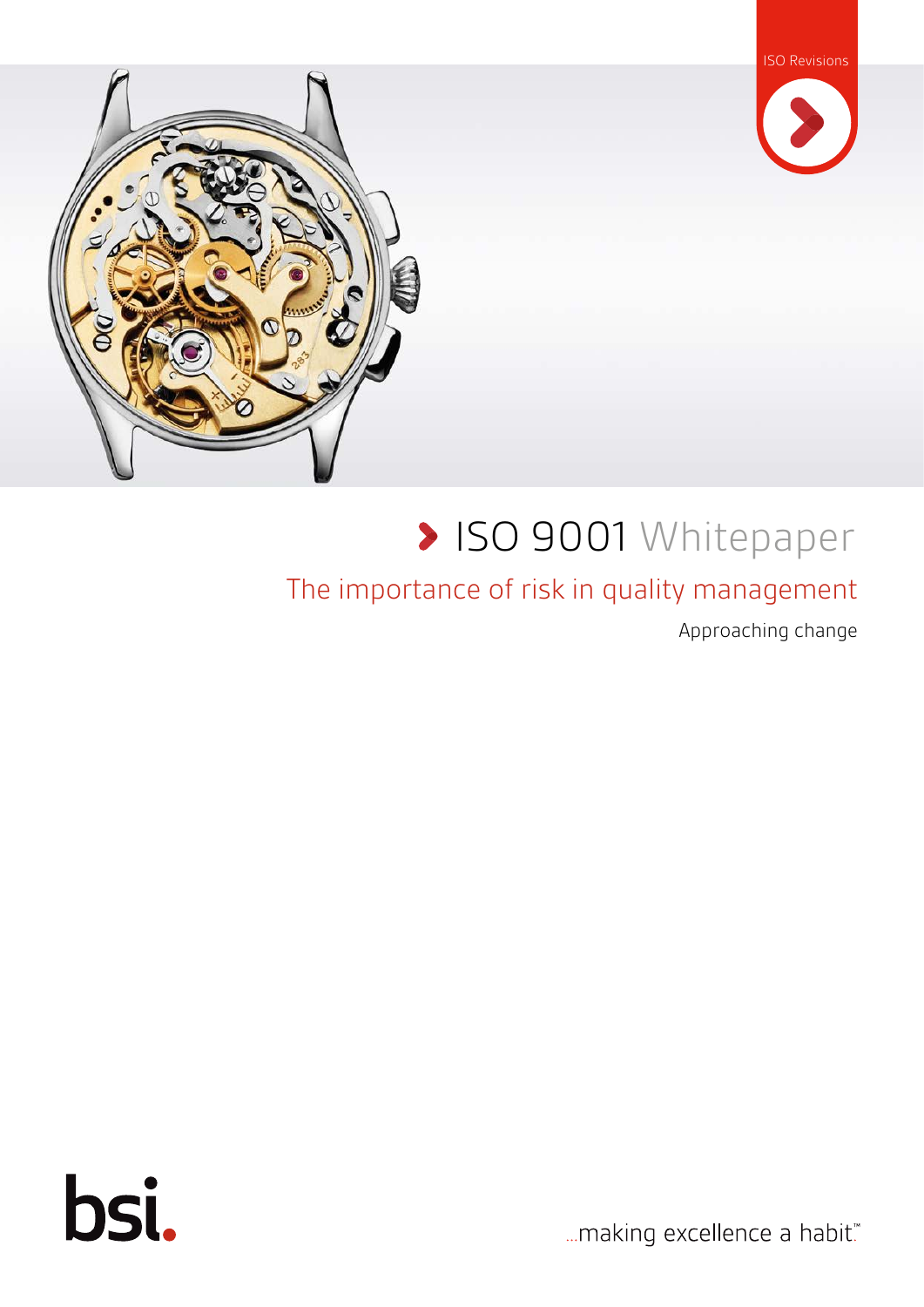



# **> ISO 9001 Whitepaper**

#### The importance of risk in quality management

Approaching change



... making excellence a habit."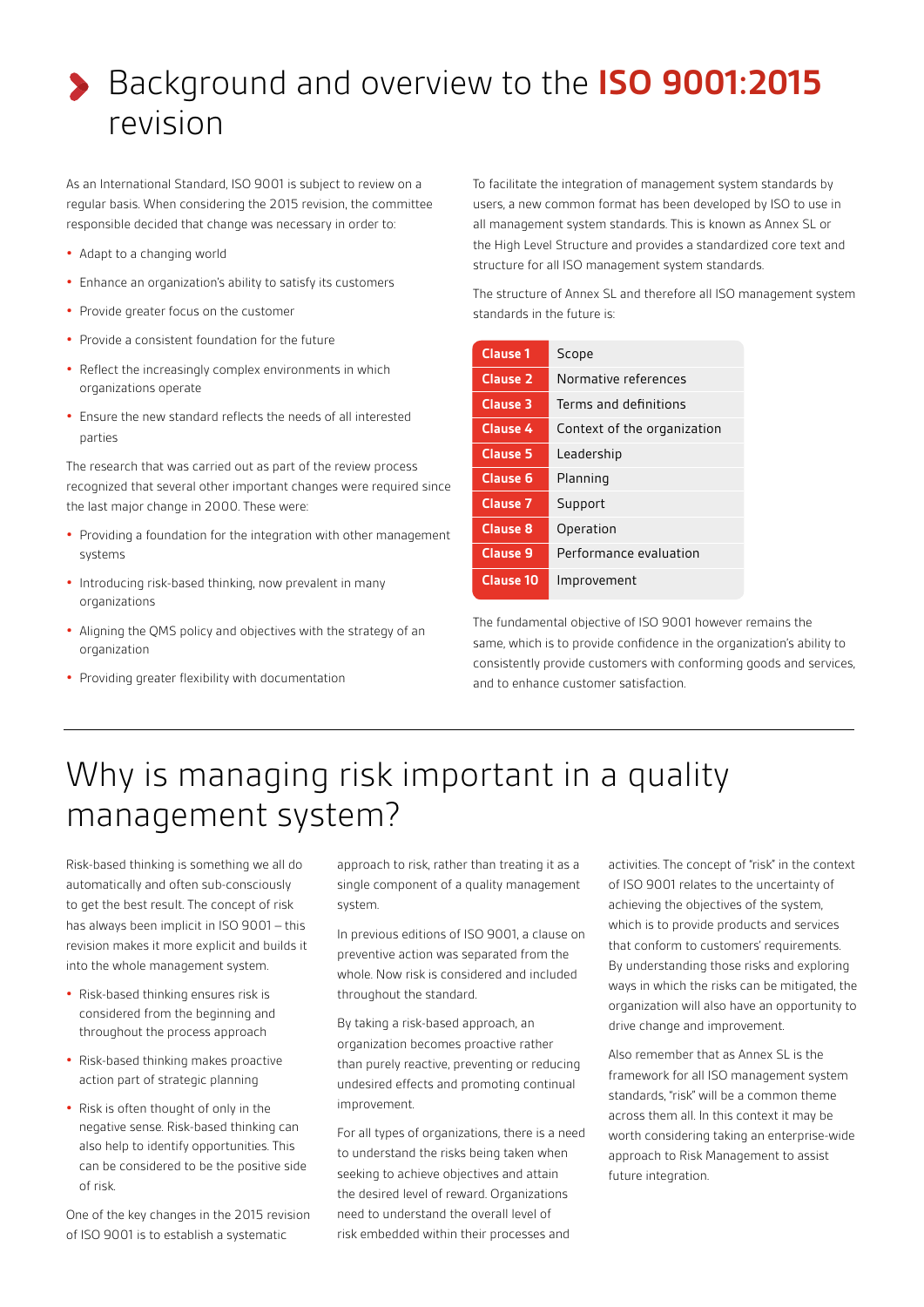# Background and overview to the **ISO 9001:2015** revision

As an International Standard, ISO 9001 is subject to review on a regular basis. When considering the 2015 revision, the committee responsible decided that change was necessary in order to:

- **•** Adapt to a changing world
- **•** Enhance an organization's ability to satisfy its customers
- **•** Provide greater focus on the customer
- **•** Provide a consistent foundation for the future
- **•** Reflect the increasingly complex environments in which organizations operate
- **•** Ensure the new standard reflects the needs of all interested parties

The research that was carried out as part of the review process recognized that several other important changes were required since the last major change in 2000. These were:

- **•** Providing a foundation for the integration with other management systems
- **•** Introducing risk-based thinking, now prevalent in many organizations
- **•** Aligning the QMS policy and objectives with the strategy of an organization
- **•** Providing greater flexibility with documentation

To facilitate the integration of management system standards by users, a new common format has been developed by ISO to use in all management system standards. This is known as Annex SL or the High Level Structure and provides a standardized core text and structure for all ISO management system standards.

The structure of Annex SL and therefore all ISO management system standards in the future is:

| <b>Clause 1</b>     | Scope                       |
|---------------------|-----------------------------|
| Clause <sub>2</sub> | Normative references        |
| Clause 3            | Terms and definitions       |
| Clause 4            | Context of the organization |
| Clause 5            | Leadership                  |
| <b>Clause 6</b>     | Planning                    |
| Clause 7            | Support                     |
| <b>Clause 8</b>     | Operation                   |
| <b>Clause 9</b>     | Performance evaluation      |
| Clause 10           | Improvement                 |
|                     |                             |

The fundamental objective of ISO 9001 however remains the same, which is to provide confidence in the organization's ability to consistently provide customers with conforming goods and services, and to enhance customer satisfaction.

#### Why is managing risk important in a quality management system?

Risk-based thinking is something we all do automatically and often sub-consciously to get the best result. The concept of risk has always been implicit in ISO 9001 – this revision makes it more explicit and builds it into the whole management system.

- **•** Risk-based thinking ensures risk is considered from the beginning and throughout the process approach
- **•** Risk-based thinking makes proactive action part of strategic planning
- **•** Risk is often thought of only in the negative sense. Risk-based thinking can also help to identify opportunities. This can be considered to be the positive side of risk.

One of the key changes in the 2015 revision of ISO 9001 is to establish a systematic

approach to risk, rather than treating it as a single component of a quality management system.

In previous editions of ISO 9001, a clause on preventive action was separated from the whole. Now risk is considered and included throughout the standard.

By taking a risk-based approach, an organization becomes proactive rather than purely reactive, preventing or reducing undesired effects and promoting continual improvement.

For all types of organizations, there is a need to understand the risks being taken when seeking to achieve objectives and attain the desired level of reward. Organizations need to understand the overall level of risk embedded within their processes and

activities. The concept of "risk" in the context of ISO 9001 relates to the uncertainty of achieving the objectives of the system, which is to provide products and services that conform to customers' requirements. By understanding those risks and exploring ways in which the risks can be mitigated, the organization will also have an opportunity to drive change and improvement.

Also remember that as Annex SL is the framework for all ISO management system standards, "risk" will be a common theme across them all. In this context it may be worth considering taking an enterprise-wide approach to Risk Management to assist future integration.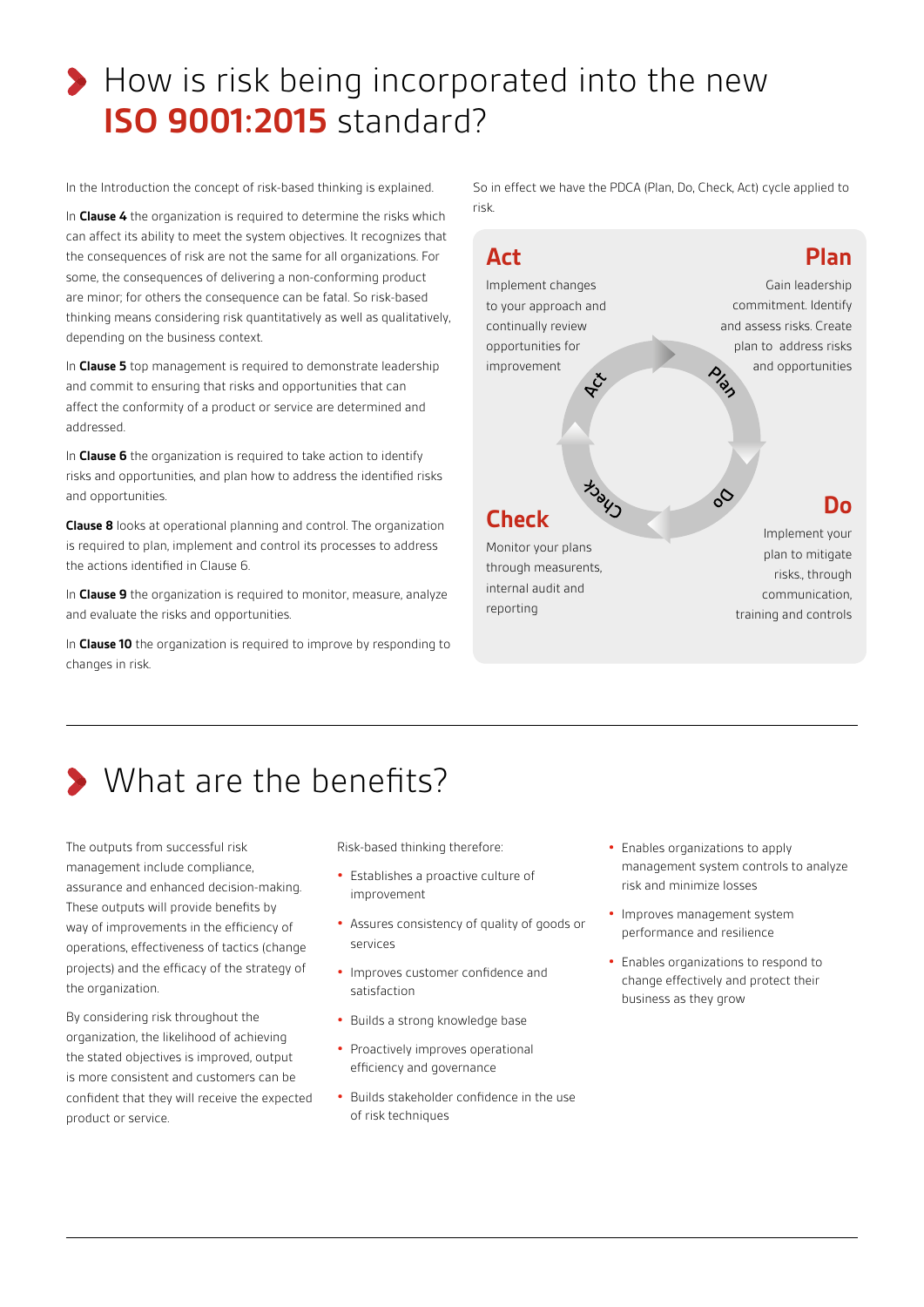## How is risk being incorporated into the new **ISO 9001:2015** standard?

In the Introduction the concept of risk-based thinking is explained.

In **Clause 4** the organization is required to determine the risks which can affect its ability to meet the system objectives. It recognizes that the consequences of risk are not the same for all organizations. For some, the consequences of delivering a non-conforming product are minor; for others the consequence can be fatal. So risk-based thinking means considering risk quantitatively as well as qualitatively, depending on the business context.

In **Clause 5** top management is required to demonstrate leadership and commit to ensuring that risks and opportunities that can affect the conformity of a product or service are determined and addressed.

In **Clause 6** the organization is required to take action to identify risks and opportunities, and plan how to address the identified risks and opportunities.

**Clause 8** looks at operational planning and control. The organization is required to plan, implement and control its processes to address the actions identified in Clause 6.

In **Clause 9** the organization is required to monitor, measure, analyze and evaluate the risks and opportunities.

In **Clause 10** the organization is required to improve by responding to changes in risk.

So in effect we have the PDCA (Plan, Do, Check, Act) cycle applied to risk.



Monitor your plans through measurents, internal audit and reporting

plan to mitigate risks., through communication, training and controls

# **> What are the benefits?**

The outputs from successful risk management include compliance, assurance and enhanced decision-making. These outputs will provide benefits by way of improvements in the efficiency of operations, effectiveness of tactics (change projects) and the efficacy of the strategy of the organization.

By considering risk throughout the organization, the likelihood of achieving the stated objectives is improved, output is more consistent and customers can be confident that they will receive the expected product or service.

Risk-based thinking therefore:

ISO Revisions

- **•** Establishes a proactive culture of improvement
- **•** Assures consistency of quality of goods or services
- **•** Improves customer confidence and satisfaction
- **•** Builds a strong knowledge base
- **•** Proactively improves operational efficiency and governance
- **•** Builds stakeholder confidence in the use of risk techniques
- **•** Enables organizations to apply management system controls to analyze risk and minimize losses
- **•** Improves management system performance and resilience
- **•** Enables organizations to respond to change effectively and protect their business as they grow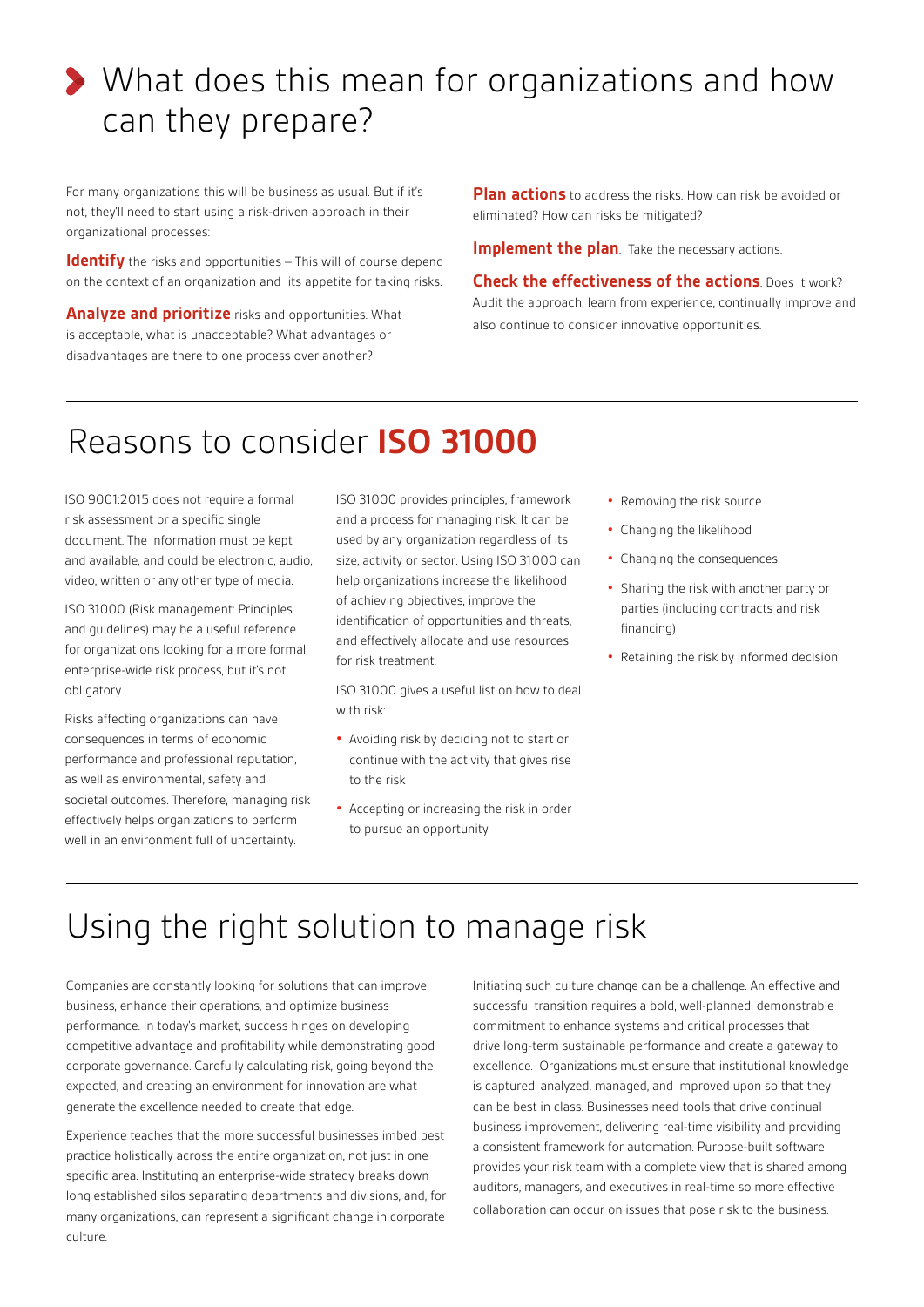## What does this mean for organizations and how can they prepare?

For many organizations this will be business as usual. But if it's not, they'll need to start using a risk-driven approach in their organizational processes:

**Identify** the risks and opportunities – This will of course depend on the context of an organization and its appetite for taking risks.

**Analyze and prioritize** risks and opportunities. What is acceptable, what is unacceptable? What advantages or disadvantages are there to one process over another?

**Plan actions** to address the risks. How can risk be avoided or eliminated? How can risks be mitigated?

**Implement the plan**. Take the necessary actions.

**Check the effectiveness of the actions**. Does it work? Audit the approach, learn from experience, continually improve and also continue to consider innovative opportunities.

#### Reasons to consider **ISO 31000**

ISO 9001:2015 does not require a formal risk assessment or a specific single document. The information must be kept and available, and could be electronic, audio, video, written or any other type of media.

ISO 31000 (Risk management: Principles and guidelines) may be a useful reference for organizations looking for a more formal enterprise-wide risk process, but it's not obligatory.

Risks affecting organizations can have consequences in terms of economic performance and professional reputation, as well as environmental, safety and societal outcomes. Therefore, managing risk effectively helps organizations to perform well in an environment full of uncertainty.

ISO 31000 provides principles, framework and a process for managing risk. It can be used by any organization regardless of its size, activity or sector. Using ISO 31000 can help organizations increase the likelihood of achieving objectives, improve the identification of opportunities and threats, and effectively allocate and use resources for risk treatment.

ISO 31000 gives a useful list on how to deal with risk:

- **•** Avoiding risk by deciding not to start or continue with the activity that gives rise to the risk
- **•** Accepting or increasing the risk in order to pursue an opportunity
- **•** Removing the risk source
- **•** Changing the likelihood
- **•** Changing the consequences
- **•** Sharing the risk with another party or parties (including contracts and risk financing)
- **•** Retaining the risk by informed decision

#### Using the right solution to manage risk

Companies are constantly looking for solutions that can improve business, enhance their operations, and optimize business performance. In today's market, success hinges on developing competitive advantage and profitability while demonstrating good corporate governance. Carefully calculating risk, going beyond the expected, and creating an environment for innovation are what generate the excellence needed to create that edge.

Experience teaches that the more successful businesses imbed best practice holistically across the entire organization, not just in one specific area. Instituting an enterprise-wide strategy breaks down long established silos separating departments and divisions, and, for many organizations, can represent a significant change in corporate culture.

Initiating such culture change can be a challenge. An effective and successful transition requires a bold, well-planned, demonstrable commitment to enhance systems and critical processes that drive long-term sustainable performance and create a gateway to excellence. Organizations must ensure that institutional knowledge is captured, analyzed, managed, and improved upon so that they can be best in class. Businesses need tools that drive continual business improvement, delivering real-time visibility and providing a consistent framework for automation. Purpose-built software provides your risk team with a complete view that is shared among auditors, managers, and executives in real-time so more effective collaboration can occur on issues that pose risk to the business.